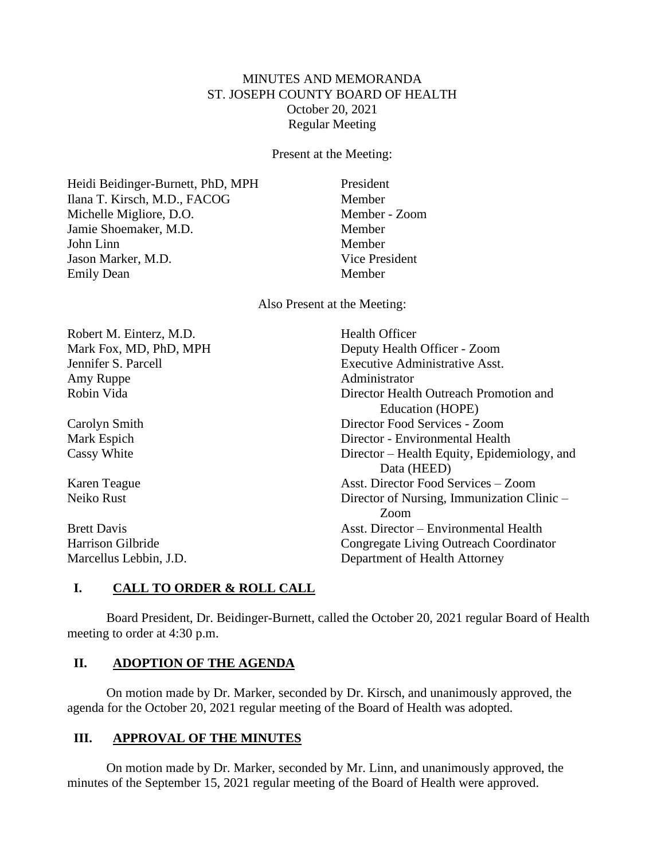# MINUTES AND MEMORANDA ST. JOSEPH COUNTY BOARD OF HEALTH October 20, 2021 Regular Meeting

Present at the Meeting:

Heidi Beidinger-Burnett, PhD, MPH President Ilana T. Kirsch, M.D., FACOG Member Michelle Migliore, D.O. Member - Zoom Jamie Shoemaker, M.D. Member John Linn Member Jason Marker, M.D. Vice President Emily Dean Member

Also Present at the Meeting:

Robert M. Einterz, M.D. Health Officer Amy Ruppe Administrator

Mark Fox, MD, PhD, MPH Deputy Health Officer - Zoom Jennifer S. Parcell Executive Administrative Asst. Robin Vida Director Health Outreach Promotion and Education (HOPE) Carolyn Smith Director Food Services - Zoom Mark Espich Director - Environmental Health Cassy White Director – Health Equity, Epidemiology, and Data (HEED) Karen Teague Asst. Director Food Services – Zoom Neiko Rust Director of Nursing, Immunization Clinic – Zoom Brett Davis **Asst.** Director – Environmental Health Harrison Gilbride Congregate Living Outreach Coordinator Marcellus Lebbin, J.D. Department of Health Attorney

# **I. CALL TO ORDER & ROLL CALL**

Board President, Dr. Beidinger-Burnett, called the October 20, 2021 regular Board of Health meeting to order at 4:30 p.m.

## **II. ADOPTION OF THE AGENDA**

On motion made by Dr. Marker, seconded by Dr. Kirsch, and unanimously approved, the agenda for the October 20, 2021 regular meeting of the Board of Health was adopted.

# **III. APPROVAL OF THE MINUTES**

On motion made by Dr. Marker, seconded by Mr. Linn, and unanimously approved, the minutes of the September 15, 2021 regular meeting of the Board of Health were approved.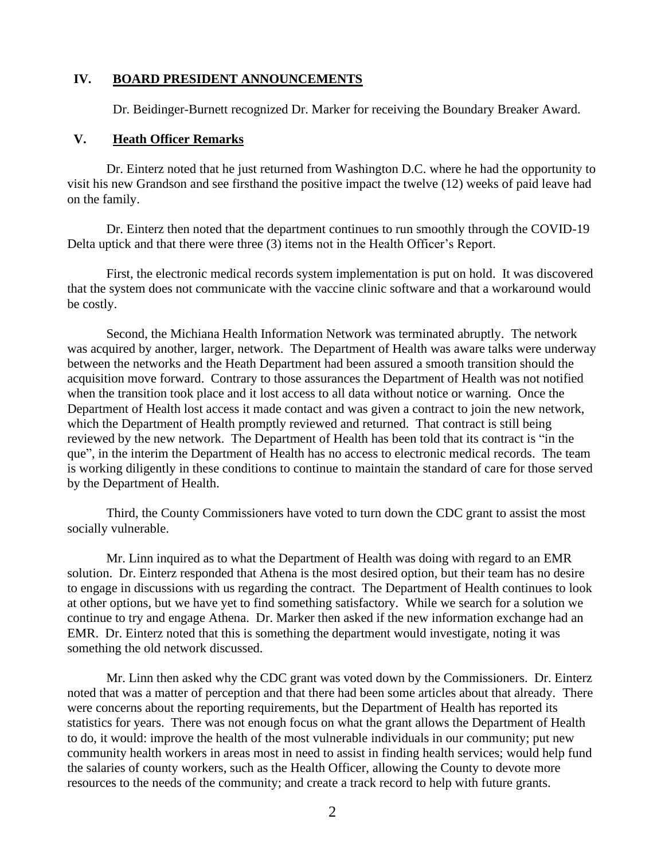### **IV. BOARD PRESIDENT ANNOUNCEMENTS**

Dr. Beidinger-Burnett recognized Dr. Marker for receiving the Boundary Breaker Award.

#### **V. Heath Officer Remarks**

Dr. Einterz noted that he just returned from Washington D.C. where he had the opportunity to visit his new Grandson and see firsthand the positive impact the twelve (12) weeks of paid leave had on the family.

Dr. Einterz then noted that the department continues to run smoothly through the COVID-19 Delta uptick and that there were three (3) items not in the Health Officer's Report.

First, the electronic medical records system implementation is put on hold. It was discovered that the system does not communicate with the vaccine clinic software and that a workaround would be costly.

Second, the Michiana Health Information Network was terminated abruptly. The network was acquired by another, larger, network. The Department of Health was aware talks were underway between the networks and the Heath Department had been assured a smooth transition should the acquisition move forward. Contrary to those assurances the Department of Health was not notified when the transition took place and it lost access to all data without notice or warning. Once the Department of Health lost access it made contact and was given a contract to join the new network, which the Department of Health promptly reviewed and returned. That contract is still being reviewed by the new network. The Department of Health has been told that its contract is "in the que", in the interim the Department of Health has no access to electronic medical records. The team is working diligently in these conditions to continue to maintain the standard of care for those served by the Department of Health.

Third, the County Commissioners have voted to turn down the CDC grant to assist the most socially vulnerable.

Mr. Linn inquired as to what the Department of Health was doing with regard to an EMR solution. Dr. Einterz responded that Athena is the most desired option, but their team has no desire to engage in discussions with us regarding the contract. The Department of Health continues to look at other options, but we have yet to find something satisfactory. While we search for a solution we continue to try and engage Athena. Dr. Marker then asked if the new information exchange had an EMR. Dr. Einterz noted that this is something the department would investigate, noting it was something the old network discussed.

Mr. Linn then asked why the CDC grant was voted down by the Commissioners. Dr. Einterz noted that was a matter of perception and that there had been some articles about that already. There were concerns about the reporting requirements, but the Department of Health has reported its statistics for years. There was not enough focus on what the grant allows the Department of Health to do, it would: improve the health of the most vulnerable individuals in our community; put new community health workers in areas most in need to assist in finding health services; would help fund the salaries of county workers, such as the Health Officer, allowing the County to devote more resources to the needs of the community; and create a track record to help with future grants.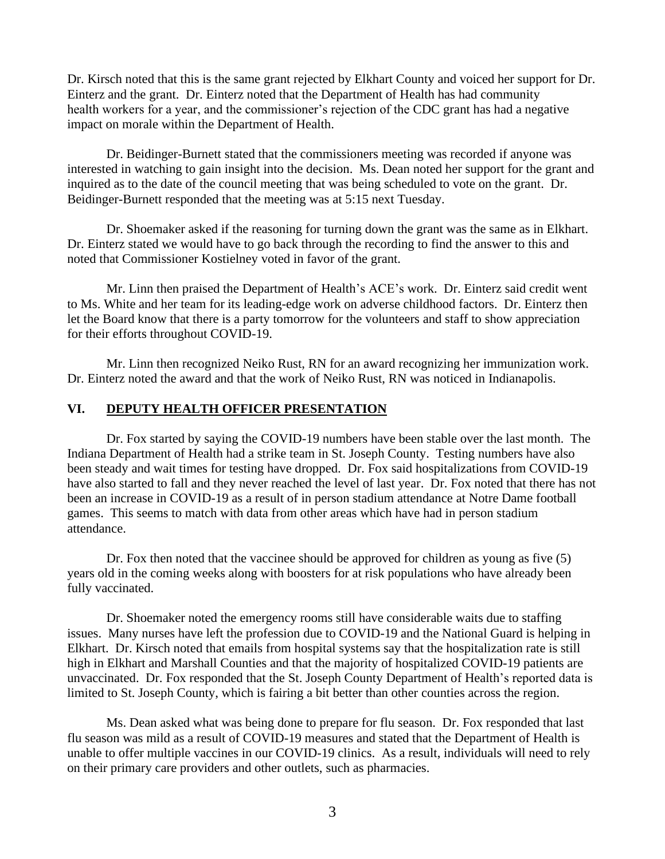Dr. Kirsch noted that this is the same grant rejected by Elkhart County and voiced her support for Dr. Einterz and the grant. Dr. Einterz noted that the Department of Health has had community health workers for a year, and the commissioner's rejection of the CDC grant has had a negative impact on morale within the Department of Health.

Dr. Beidinger-Burnett stated that the commissioners meeting was recorded if anyone was interested in watching to gain insight into the decision. Ms. Dean noted her support for the grant and inquired as to the date of the council meeting that was being scheduled to vote on the grant. Dr. Beidinger-Burnett responded that the meeting was at 5:15 next Tuesday.

Dr. Shoemaker asked if the reasoning for turning down the grant was the same as in Elkhart. Dr. Einterz stated we would have to go back through the recording to find the answer to this and noted that Commissioner Kostielney voted in favor of the grant.

Mr. Linn then praised the Department of Health's ACE's work. Dr. Einterz said credit went to Ms. White and her team for its leading-edge work on adverse childhood factors. Dr. Einterz then let the Board know that there is a party tomorrow for the volunteers and staff to show appreciation for their efforts throughout COVID-19.

Mr. Linn then recognized Neiko Rust, RN for an award recognizing her immunization work. Dr. Einterz noted the award and that the work of Neiko Rust, RN was noticed in Indianapolis.

### **VI. DEPUTY HEALTH OFFICER PRESENTATION**

Dr. Fox started by saying the COVID-19 numbers have been stable over the last month. The Indiana Department of Health had a strike team in St. Joseph County. Testing numbers have also been steady and wait times for testing have dropped. Dr. Fox said hospitalizations from COVID-19 have also started to fall and they never reached the level of last year. Dr. Fox noted that there has not been an increase in COVID-19 as a result of in person stadium attendance at Notre Dame football games. This seems to match with data from other areas which have had in person stadium attendance.

Dr. Fox then noted that the vaccinee should be approved for children as young as five (5) years old in the coming weeks along with boosters for at risk populations who have already been fully vaccinated.

Dr. Shoemaker noted the emergency rooms still have considerable waits due to staffing issues. Many nurses have left the profession due to COVID-19 and the National Guard is helping in Elkhart. Dr. Kirsch noted that emails from hospital systems say that the hospitalization rate is still high in Elkhart and Marshall Counties and that the majority of hospitalized COVID-19 patients are unvaccinated. Dr. Fox responded that the St. Joseph County Department of Health's reported data is limited to St. Joseph County, which is fairing a bit better than other counties across the region.

Ms. Dean asked what was being done to prepare for flu season. Dr. Fox responded that last flu season was mild as a result of COVID-19 measures and stated that the Department of Health is unable to offer multiple vaccines in our COVID-19 clinics. As a result, individuals will need to rely on their primary care providers and other outlets, such as pharmacies.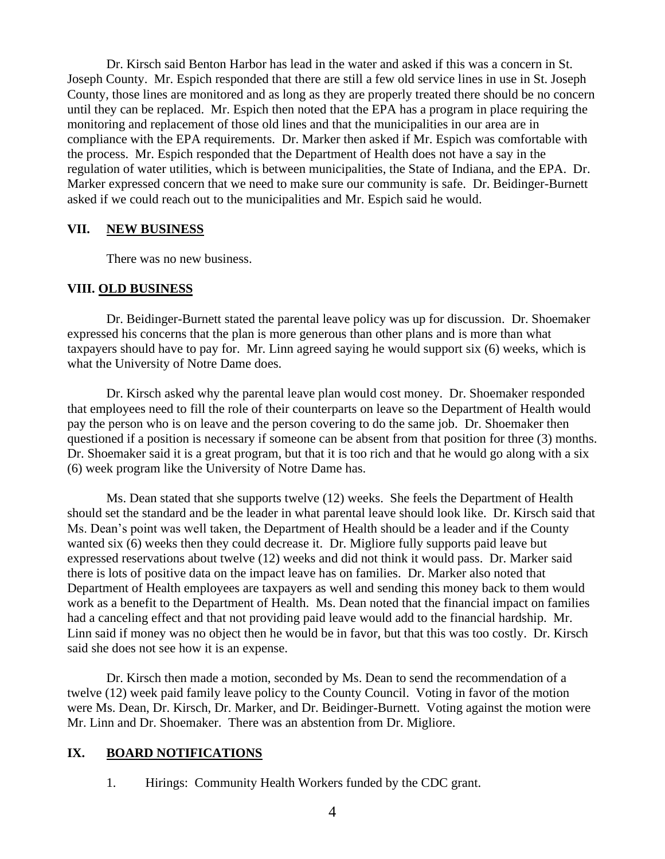Dr. Kirsch said Benton Harbor has lead in the water and asked if this was a concern in St. Joseph County. Mr. Espich responded that there are still a few old service lines in use in St. Joseph County, those lines are monitored and as long as they are properly treated there should be no concern until they can be replaced. Mr. Espich then noted that the EPA has a program in place requiring the monitoring and replacement of those old lines and that the municipalities in our area are in compliance with the EPA requirements. Dr. Marker then asked if Mr. Espich was comfortable with the process. Mr. Espich responded that the Department of Health does not have a say in the regulation of water utilities, which is between municipalities, the State of Indiana, and the EPA. Dr. Marker expressed concern that we need to make sure our community is safe. Dr. Beidinger-Burnett asked if we could reach out to the municipalities and Mr. Espich said he would.

#### **VII. NEW BUSINESS**

There was no new business.

#### **VIII. OLD BUSINESS**

Dr. Beidinger-Burnett stated the parental leave policy was up for discussion. Dr. Shoemaker expressed his concerns that the plan is more generous than other plans and is more than what taxpayers should have to pay for. Mr. Linn agreed saying he would support six (6) weeks, which is what the University of Notre Dame does.

Dr. Kirsch asked why the parental leave plan would cost money. Dr. Shoemaker responded that employees need to fill the role of their counterparts on leave so the Department of Health would pay the person who is on leave and the person covering to do the same job. Dr. Shoemaker then questioned if a position is necessary if someone can be absent from that position for three (3) months. Dr. Shoemaker said it is a great program, but that it is too rich and that he would go along with a six (6) week program like the University of Notre Dame has.

Ms. Dean stated that she supports twelve (12) weeks. She feels the Department of Health should set the standard and be the leader in what parental leave should look like. Dr. Kirsch said that Ms. Dean's point was well taken, the Department of Health should be a leader and if the County wanted six (6) weeks then they could decrease it. Dr. Migliore fully supports paid leave but expressed reservations about twelve (12) weeks and did not think it would pass. Dr. Marker said there is lots of positive data on the impact leave has on families. Dr. Marker also noted that Department of Health employees are taxpayers as well and sending this money back to them would work as a benefit to the Department of Health. Ms. Dean noted that the financial impact on families had a canceling effect and that not providing paid leave would add to the financial hardship. Mr. Linn said if money was no object then he would be in favor, but that this was too costly. Dr. Kirsch said she does not see how it is an expense.

Dr. Kirsch then made a motion, seconded by Ms. Dean to send the recommendation of a twelve (12) week paid family leave policy to the County Council. Voting in favor of the motion were Ms. Dean, Dr. Kirsch, Dr. Marker, and Dr. Beidinger-Burnett. Voting against the motion were Mr. Linn and Dr. Shoemaker. There was an abstention from Dr. Migliore.

### **IX. BOARD NOTIFICATIONS**

1. Hirings: Community Health Workers funded by the CDC grant.